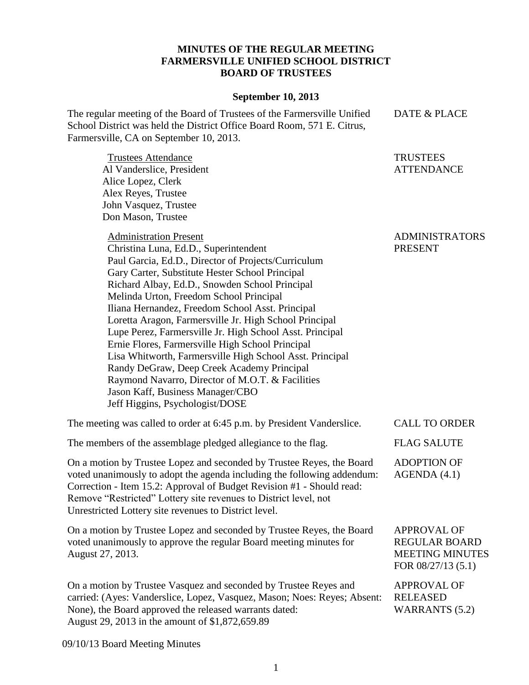## **MINUTES OF THE REGULAR MEETING FARMERSVILLE UNIFIED SCHOOL DISTRICT BOARD OF TRUSTEES**

## **September 10, 2013**

The regular meeting of the Board of Trustees of the Farmersville Unified School District was held the District Office Board Room, 571 E. Citrus, Farmersville, CA on September 10, 2013. DATE & PLACE

> **TRUSTEES ATTENDANCE**

| Don Mason, Trustee                                                                                                                                                                                                                                                                                                                                                                                                                                                                                                                                                                                                                                                                                                                               |                                                                                            |
|--------------------------------------------------------------------------------------------------------------------------------------------------------------------------------------------------------------------------------------------------------------------------------------------------------------------------------------------------------------------------------------------------------------------------------------------------------------------------------------------------------------------------------------------------------------------------------------------------------------------------------------------------------------------------------------------------------------------------------------------------|--------------------------------------------------------------------------------------------|
| <b>Administration Present</b><br>Christina Luna, Ed.D., Superintendent<br>Paul Garcia, Ed.D., Director of Projects/Curriculum<br>Gary Carter, Substitute Hester School Principal<br>Richard Albay, Ed.D., Snowden School Principal<br>Melinda Urton, Freedom School Principal<br>Iliana Hernandez, Freedom School Asst. Principal<br>Loretta Aragon, Farmersville Jr. High School Principal<br>Lupe Perez, Farmersville Jr. High School Asst. Principal<br>Ernie Flores, Farmersville High School Principal<br>Lisa Whitworth, Farmersville High School Asst. Principal<br>Randy DeGraw, Deep Creek Academy Principal<br>Raymond Navarro, Director of M.O.T. & Facilities<br>Jason Kaff, Business Manager/CBO<br>Jeff Higgins, Psychologist/DOSE | <b>ADMINISTRATORS</b><br><b>PRESENT</b>                                                    |
| The meeting was called to order at 6:45 p.m. by President Vanderslice.                                                                                                                                                                                                                                                                                                                                                                                                                                                                                                                                                                                                                                                                           | <b>CALL TO ORDER</b>                                                                       |
| The members of the assemblage pledged allegiance to the flag.                                                                                                                                                                                                                                                                                                                                                                                                                                                                                                                                                                                                                                                                                    | <b>FLAG SALUTE</b>                                                                         |
| On a motion by Trustee Lopez and seconded by Trustee Reyes, the Board<br>voted unanimously to adopt the agenda including the following addendum:<br>Correction - Item 15.2: Approval of Budget Revision #1 - Should read:<br>Remove "Restricted" Lottery site revenues to District level, not<br>Unrestricted Lottery site revenues to District level.                                                                                                                                                                                                                                                                                                                                                                                           | <b>ADOPTION OF</b><br>AGENDA(4.1)                                                          |
| On a motion by Trustee Lopez and seconded by Trustee Reyes, the Board<br>voted unanimously to approve the regular Board meeting minutes for<br>August 27, 2013.                                                                                                                                                                                                                                                                                                                                                                                                                                                                                                                                                                                  | <b>APPROVAL OF</b><br><b>REGULAR BOARD</b><br><b>MEETING MINUTES</b><br>FOR 08/27/13 (5.1) |
| On a motion by Trustee Vasquez and seconded by Trustee Reyes and<br>carried: (Ayes: Vanderslice, Lopez, Vasquez, Mason; Noes: Reyes; Absent:<br>None), the Board approved the released warrants dated:<br>August 29, 2013 in the amount of \$1,872,659.89                                                                                                                                                                                                                                                                                                                                                                                                                                                                                        | <b>APPROVAL OF</b><br><b>RELEASED</b><br><b>WARRANTS (5.2)</b>                             |

09/10/13 Board Meeting Minutes

Trustees Attendance Al Vanderslice, President

Alice Lopez, Clerk Alex Reyes, Trustee John Vasquez, Trustee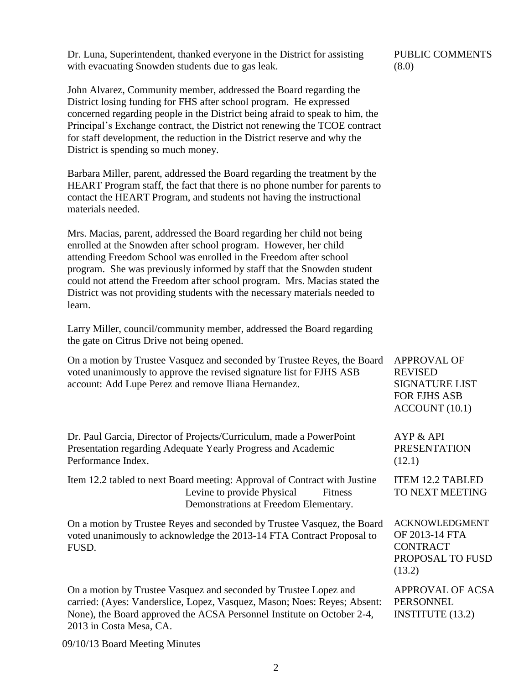Dr. Luna, Superintendent, thanked everyone in the District for assisting with evacuating Snowden students due to gas leak.

John Alvarez, Community member, addressed the Board regarding the District losing funding for FHS after school program. He expressed concerned regarding people in the District being afraid to speak to him, the Principal's Exchange contract, the District not renewing the TCOE contract for staff development, the reduction in the District reserve and why the District is spending so much money.

Barbara Miller, parent, addressed the Board regarding the treatment by the HEART Program staff, the fact that there is no phone number for parents to contact the HEART Program, and students not having the instructional materials needed.

Mrs. Macias, parent, addressed the Board regarding her child not being enrolled at the Snowden after school program. However, her child attending Freedom School was enrolled in the Freedom after school program. She was previously informed by staff that the Snowden student could not attend the Freedom after school program. Mrs. Macias stated the District was not providing students with the necessary materials needed to learn.

Larry Miller, council/community member, addressed the Board regarding the gate on Citrus Drive not being opened.

| On a motion by Trustee Vasquez and seconded by Trustee Reyes, the Board<br>voted unanimously to approve the revised signature list for FJHS ASB<br>account: Add Lupe Perez and remove Iliana Hernandez.                                           | <b>APPROVAL OF</b><br><b>REVISED</b><br><b>SIGNATURE LIST</b><br><b>FOR FJHS ASB</b><br>ACCOUNT(10.1) |
|---------------------------------------------------------------------------------------------------------------------------------------------------------------------------------------------------------------------------------------------------|-------------------------------------------------------------------------------------------------------|
| Dr. Paul Garcia, Director of Projects/Curriculum, made a PowerPoint<br>Presentation regarding Adequate Yearly Progress and Academic<br>Performance Index.                                                                                         | AYP & API<br><b>PRESENTATION</b><br>(12.1)                                                            |
| Item 12.2 tabled to next Board meeting: Approval of Contract with Justine<br>Levine to provide Physical<br><b>Fitness</b><br>Demonstrations at Freedom Elementary.                                                                                | <b>ITEM 12.2 TABLED</b><br>TO NEXT MEETING                                                            |
| On a motion by Trustee Reyes and seconded by Trustee Vasquez, the Board<br>voted unanimously to acknowledge the 2013-14 FTA Contract Proposal to<br>FUSD.                                                                                         | <b>ACKNOWLEDGMENT</b><br>OF 2013-14 FTA<br><b>CONTRACT</b><br>PROPOSAL TO FUSD<br>(13.2)              |
| On a motion by Trustee Vasquez and seconded by Trustee Lopez and<br>carried: (Ayes: Vanderslice, Lopez, Vasquez, Mason; Noes: Reyes; Absent:<br>None), the Board approved the ACSA Personnel Institute on October 2-4,<br>2013 in Costa Mesa, CA. | APPROVAL OF ACSA<br><b>PERSONNEL</b><br><b>INSTITUTE</b> (13.2)                                       |

09/10/13 Board Meeting Minutes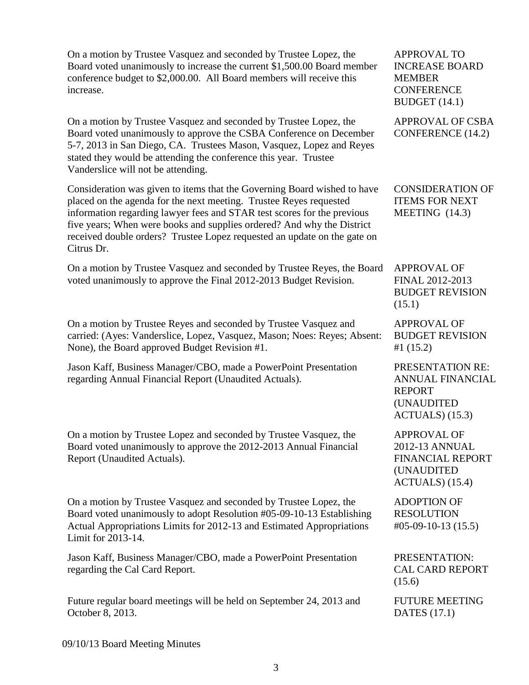On a motion by Trustee Vasquez and seconded by Trustee Lopez, the Board voted unanimously to increase the current \$1,500.00 Board member conference budget to \$2,000.00. All Board members will receive this increase.

On a motion by Trustee Vasquez and seconded by Trustee Lopez, the Board voted unanimously to approve the CSBA Conference on December 5-7, 2013 in San Diego, CA. Trustees Mason, Vasquez, Lopez and Reyes stated they would be attending the conference this year. Trustee Vanderslice will not be attending.

Consideration was given to items that the Governing Board wished to have placed on the agenda for the next meeting. Trustee Reyes requested information regarding lawyer fees and STAR test scores for the previous five years; When were books and supplies ordered? And why the District received double orders? Trustee Lopez requested an update on the gate on Citrus Dr.

On a motion by Trustee Vasquez and seconded by Trustee Reyes, the Board voted unanimously to approve the Final 2012-2013 Budget Revision.

On a motion by Trustee Reyes and seconded by Trustee Vasquez and carried: (Ayes: Vanderslice, Lopez, Vasquez, Mason; Noes: Reyes; Absent: None), the Board approved Budget Revision #1.

Jason Kaff, Business Manager/CBO, made a PowerPoint Presentation regarding Annual Financial Report (Unaudited Actuals).

On a motion by Trustee Lopez and seconded by Trustee Vasquez, the Board voted unanimously to approve the 2012-2013 Annual Financial Report (Unaudited Actuals).

On a motion by Trustee Vasquez and seconded by Trustee Lopez, the Board voted unanimously to adopt Resolution #05-09-10-13 Establishing Actual Appropriations Limits for 2012-13 and Estimated Appropriations Limit for 2013-14.

Jason Kaff, Business Manager/CBO, made a PowerPoint Presentation regarding the Cal Card Report.

Future regular board meetings will be held on September 24, 2013 and October 8, 2013.

APPROVAL TO INCREASE BOARD MEMBER **CONFERENCE** BUDGET (14.1)

APPROVAL OF CSBA CONFERENCE (14.2)

CONSIDERATION OF ITEMS FOR NEXT MEETING (14.3)

APPROVAL OF FINAL 2012-2013 BUDGET REVISION (15.1)

APPROVAL OF BUDGET REVISION #1 (15.2)

PRESENTATION RE: ANNUAL FINANCIAL REPORT (UNAUDITED ACTUALS) (15.3)

APPROVAL OF 2012-13 ANNUAL FINANCIAL REPORT (UNAUDITED ACTUALS) (15.4)

ADOPTION OF RESOLUTION #05-09-10-13 (15.5)

PRESENTATION: CAL CARD REPORT (15.6)

FUTURE MEETING DATES (17.1)

09/10/13 Board Meeting Minutes